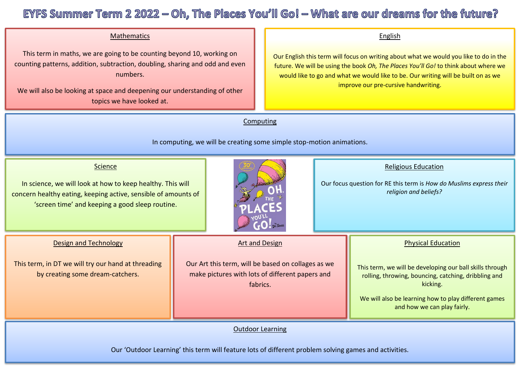## Mathematics

 This term in maths, we are going to be counting beyond 10, working on counting patterns, addition, subtraction, doubling, sharing and odd and even numbers.

We will also be looking at space and deepening our understanding of other topics we have looked at.

#### English

Our English this term will focus on writing about what we would you like to do in the future. We will be using the book *Oh, The Places You'll Go!* to think about where we would like to go and what we would like to be. Our writing will be built on as we improve our pre-cursive handwriting.

**Computing** 

In computing, we will be creating some simple stop-motion animations.

#### **Science**

In science, we will look at how to keep healthy. This will concern healthy eating, keeping active, sensible of amounts of 'screen time' and keeping a good sleep routine.

Design and Technology

This term, in DT we will try our hand at threading by creating some dream-catchers.



# Religious Education

Our focus question for RE this term is *How do Muslims express their religion and beliefs?*

# Art and Design

Our Art this term, will be based on collages as we make pictures with lots of different papers and fabrics.

Physical Education

This term, we will be developing our ball skills through rolling, throwing, bouncing, catching, dribbling and kicking.

We will also be learning how to play different games and how we can play fairly.

### Outdoor Learning

Our 'Outdoor Learning' this term will feature lots of different problem solving games and activities.